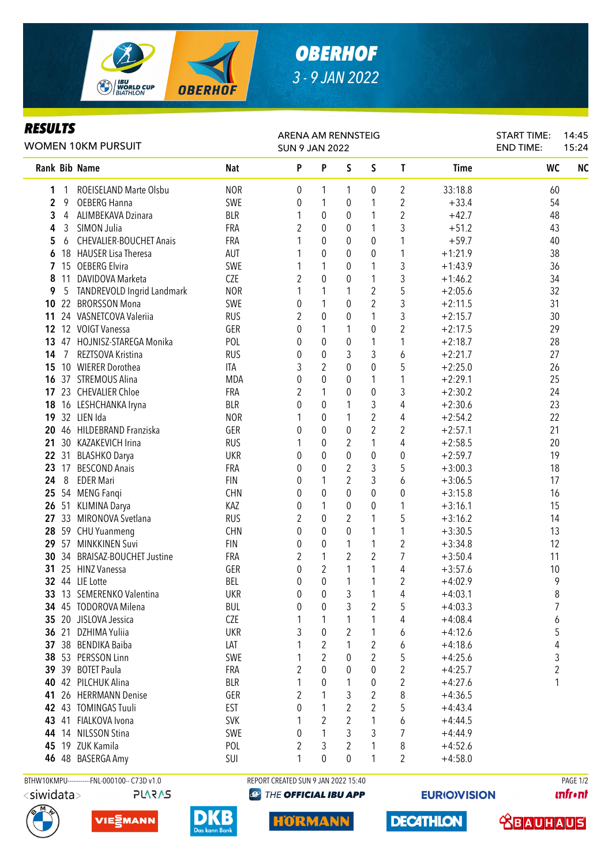

## *OBERHOF 3 - 9 JAN 2022*

## *RESULTS*

| I\LJVLI J<br>WOMEN 10KM PURSUIT |       |                                             |                   | ARENA AM RENNSTEIG<br><b>SUN 9 JAN 2022</b> |                       |                                  |                | <b>START TIME:</b><br><b>END TIME:</b> | 14:45<br>15:24         |                |           |
|---------------------------------|-------|---------------------------------------------|-------------------|---------------------------------------------|-----------------------|----------------------------------|----------------|----------------------------------------|------------------------|----------------|-----------|
|                                 |       | Rank Bib Name                               | <b>Nat</b>        | P                                           | P                     | S                                | $\mathsf S$    | T                                      | <b>Time</b>            | WC             | <b>NC</b> |
| 1                               | 1     | ROEISELAND Marte Olsbu                      | <b>NOR</b>        | 0                                           | 1                     | 1                                | 0              | 2                                      | 33:18.8                | 60             |           |
| $\mathbf{2}$                    | 9     | <b>OEBERG Hanna</b>                         | SWE               | 0                                           | 1                     | 0                                | 1              | $\overline{2}$                         | $+33.4$                | 54             |           |
| 3                               | 4     | ALIMBEKAVA Dzinara                          | <b>BLR</b>        | 1                                           | 0                     | 0                                | 1              | $\overline{2}$                         | $+42.7$                | 48             |           |
| 4                               | 3     | SIMON Julia                                 | FRA               | 2                                           | 0                     | 0                                | 1              | 3                                      | $+51.2$                | 43             |           |
| 5                               | 6     | <b>CHEVALIER-BOUCHET Anais</b>              | FRA               |                                             | $\boldsymbol{0}$      | 0                                | 0              | 1                                      | $+59.7$                | 40             |           |
| 6                               |       | 18 HAUSER Lisa Theresa                      | AUT               |                                             | $\boldsymbol{0}$      | 0                                | $\pmb{0}$      | 1                                      | $+1:21.9$              | 38             |           |
| 7                               |       | 15 OEBERG Elvira                            | SWE               |                                             | 1                     | 0                                | 1              | 3                                      | $+1:43.9$              | 36             |           |
| 8                               | 11    | DAVIDOVA Marketa                            | CZE               | $\overline{2}$                              | $\mathbf 0$           | 0                                | 1              | 3                                      | $+1:46.2$              | 34             |           |
| 9                               | 5     | TANDREVOLD Ingrid Landmark                  | <b>NOR</b>        |                                             | 1                     | 1                                | $\overline{2}$ | 5                                      | $+2:05.6$              | 32             |           |
| 10                              |       | 22 BRORSSON Mona                            | SWE               | 0                                           | 1                     | $\pmb{0}$                        | $\overline{2}$ | 3                                      | $+2:11.5$              | 31             |           |
| 11                              |       | 24 VASNETCOVA Valeriia                      | <b>RUS</b>        | $\overline{2}$                              | $\mathbf 0$           | $\mathbf 0$                      | 1              | 3                                      | $+2:15.7$              | 30             |           |
| 12                              |       | 12 VOIGT Vanessa                            | GER               | 0                                           | 1                     | 1                                | 0              | $\overline{2}$                         | $+2:17.5$              | 29             |           |
| 13                              |       | 47 HOJNISZ-STAREGA Monika                   | POL               | 0                                           | $\mathbf 0$           | 0                                | 1              | 1                                      | $+2:18.7$              | 28             |           |
| 14                              | 7     | REZTSOVA Kristina                           | <b>RUS</b>        | 0                                           | $\mathbf 0$           | 3                                | 3              | 6                                      | $+2:21.7$              | 27             |           |
| 15                              |       | 10 WIERER Dorothea                          | ITA               | 3                                           | $\overline{2}$        | $\mathbf 0$                      | 0              | 5                                      | $+2:25.0$              | 26             |           |
| 16                              |       | 37 STREMOUS Alina                           | <b>MDA</b>        | $\mathbf{0}$                                | $\mathbf 0$           | 0                                | 1              | 1                                      | $+2:29.1$              | 25             |           |
|                                 |       | 17 23 CHEVALIER Chloe                       | <b>FRA</b>        | 2                                           | 1                     | 0                                | 0              | 3                                      | $+2:30.2$              | 24             |           |
| 18                              |       | 16 LESHCHANKA Iryna                         | <b>BLR</b>        | 0                                           | 0                     | 1                                | 3              | 4                                      | $+2:30.6$              | 23             |           |
| 19                              |       | 32 LIEN Ida                                 | <b>NOR</b>        |                                             | 0                     | 1                                | $\overline{2}$ | 4                                      | $+2:54.2$              | 22             |           |
| 20                              |       | 46 HILDEBRAND Franziska                     | GER               | 0                                           | 0                     | 0                                | $\overline{2}$ | 2                                      | $+2:57.1$              | 21             |           |
| 21                              |       | 30 KAZAKEVICH Irina                         | <b>RUS</b>        |                                             | 0                     | $\overline{c}$                   | 1              | 4                                      | $+2:58.5$              | 20             |           |
| 22                              |       | 31 BLASHKO Darya                            | <b>UKR</b>        | 0                                           | $\mathbf 0$           | $\mathbf 0$                      | 0              | 0                                      | $+2:59.7$              | 19             |           |
| 23                              |       | 17 BESCOND Anais                            | FRA               | 0                                           | 0                     | $\overline{c}$<br>$\overline{2}$ | 3              | 5                                      | $+3:00.3$              | 18             |           |
| 24                              | 8     | <b>EDER Mari</b>                            | <b>FIN</b>        | 0                                           | 1<br>$\mathbf 0$      | $\theta$                         | 3              | 6                                      | $+3:06.5$              | 17             |           |
| 25<br>26                        |       | 54 MENG Fangi                               | <b>CHN</b>        | 0                                           |                       |                                  | 0              | 0                                      | $+3:15.8$              | 16             |           |
|                                 |       | 51 KLIMINA Darya<br>27 33 MIRONOVA Svetlana | KAZ<br><b>RUS</b> | 0<br>$\overline{2}$                         | 1<br>$\boldsymbol{0}$ | 0<br>2                           | 0<br>1         | 1<br>5                                 | $+3:16.1$<br>$+3:16.2$ | 15<br>14       |           |
|                                 |       | 28 59 CHU Yuanmeng                          | <b>CHN</b>        | 0                                           | $\boldsymbol{0}$      | 0                                | 1              | 1                                      | $+3:30.5$              | 13             |           |
|                                 |       | 29 57 MINKKINEN Suvi                        | <b>FIN</b>        | 0                                           | $\boldsymbol{0}$      | 1                                | 1              | $\overline{\mathbf{c}}$                | $+3:34.8$              | 12             |           |
|                                 |       | 30 34 BRAISAZ-BOUCHET Justine               | FRA               | 2                                           | 1                     | $\overline{2}$                   | $\overline{2}$ | 7                                      | $+3:50.4$              | 11             |           |
| 31                              |       | 25 HINZ Vanessa                             | GER               | 0                                           | $\overline{c}$        | 1                                | 1              | 4                                      | $+3:57.6$              | 10             |           |
|                                 |       | 32 44 LIE Lotte                             | <b>BEL</b>        | 0                                           | $\pmb{0}$             | $\mathbf{1}$                     | $\mathbf 1$    | 2                                      | $+4:02.9$              | 9              |           |
|                                 |       | 33 13 SEMERENKO Valentina                   | <b>UKR</b>        | 0                                           | $\boldsymbol{0}$      | 3                                | $\overline{ }$ | 4                                      | $+4:03.1$              | 8              |           |
|                                 |       | 34 45 TODOROVA Milena                       | <b>BUL</b>        | 0                                           | 0                     | 3                                | 2              | 5                                      | $+4:03.3$              | 7              |           |
|                                 |       | 35 20 JISLOVA Jessica                       | CZE               |                                             | 1                     | 1                                | 1              | 4                                      | $+4:08.4$              | 6              |           |
|                                 | 36 21 | DZHIMA Yuliia                               | <b>UKR</b>        | 3                                           | 0                     | 2                                | 1              | 6                                      | $+4:12.6$              | 5              |           |
|                                 |       | 37 38 BENDIKA Baiba                         | LAT               |                                             | 2                     | 1                                | 2              | 6                                      | $+4:18.6$              | 4              |           |
| 38                              |       | 53 PERSSON Linn                             | SWE               |                                             | 2                     | $\theta$                         | $\overline{2}$ | 5                                      | $+4:25.6$              | 3              |           |
|                                 |       | 39 39 BOTET Paula                           | <b>FRA</b>        | 2                                           | 0                     | $\theta$                         | 0              | $\overline{\mathbf{c}}$                | $+4:25.7$              | $\overline{2}$ |           |
| 40                              |       | 42 PILCHUK Alina                            | <b>BLR</b>        | 1                                           | 0                     |                                  | 0              | $\overline{\mathbf{c}}$                | $+4:27.6$              | 1              |           |
| 41                              |       | 26 HERRMANN Denise                          | GER               | 2                                           | 1                     | 3                                | $\overline{2}$ | 8                                      | $+4:36.5$              |                |           |
|                                 |       | 42 43 TOMINGAS Tuuli                        | <b>EST</b>        | 0                                           | 1                     | 2                                | 2              | 5                                      | $+4:43.4$              |                |           |
| 43                              |       | 41 FIALKOVA Ivona                           | <b>SVK</b>        |                                             | 2                     | 2                                | 1              | 6                                      | $+4:44.5$              |                |           |
| 44                              |       | 14 NILSSON Stina                            | SWE               | 0                                           | 1                     | 3                                | 3              | 7                                      | $+4:44.9$              |                |           |
| 45                              |       | 19 ZUK Kamila                               | POL               | 2                                           | 3                     | 2                                | 1              | 8                                      | $+4:52.6$              |                |           |
|                                 |       | 46 48 BASERGA Amy                           | SUI               | 1                                           | 0                     | $\theta$                         | 1              | 2                                      | $+4:58.0$              |                |           |
|                                 |       |                                             |                   |                                             |                       |                                  |                |                                        |                        |                |           |

<siwidata>

**PLARAS** 





BTHW10KMPU-----------FNL-000100-- C73D v1.0 REPORT CREATED SUN 9 JAN 2022 15:40 PAGE 1/2 **<sup>49</sup> THE OFFICIAL IBU APP** 

**HÖRMANN** 

**EURIO)VISION** 

**DECATHLON** 

**unfront**